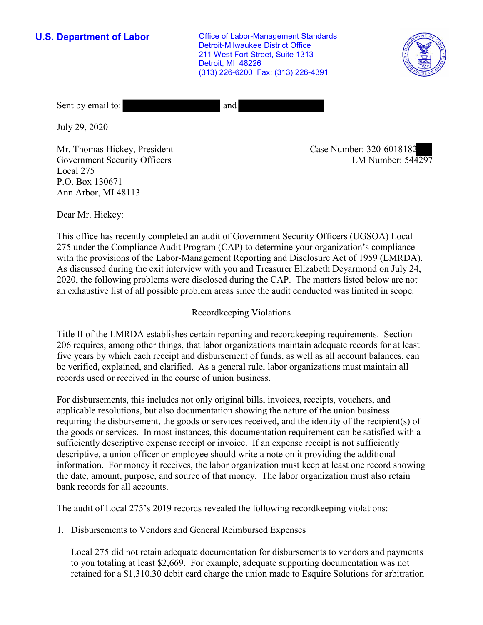**U.S. Department of Labor Conservative Conservative Conservative Conservative U.S.** Department of Labor Detroit-Milwaukee District Office 211 West Fort Street, Suite 1313 Detroit, MI 48226 (313) 226-6200 Fax: (313) 226-4391



Sent by email to: and

July 29, 2020

Mr. Thomas Hickey, President Government Security Officers Local 275 P.O. Box 130671 Ann Arbor, MI 48113

Case Number: 320-6018182<br>LM Number: 544297

Dear Mr. Hickey:

This office has recently completed an audit of Government Security Officers (UGSOA) Local 275 under the Compliance Audit Program (CAP) to determine your organization's compliance with the provisions of the Labor-Management Reporting and Disclosure Act of 1959 (LMRDA). As discussed during the exit interview with you and Treasurer Elizabeth Deyarmond on July 24, 2020, the following problems were disclosed during the CAP. The matters listed below are not an exhaustive list of all possible problem areas since the audit conducted was limited in scope.

## Recordkeeping Violations

Title II of the LMRDA establishes certain reporting and recordkeeping requirements. Section 206 requires, among other things, that labor organizations maintain adequate records for at least five years by which each receipt and disbursement of funds, as well as all account balances, can be verified, explained, and clarified. As a general rule, labor organizations must maintain all records used or received in the course of union business.

For disbursements, this includes not only original bills, invoices, receipts, vouchers, and applicable resolutions, but also documentation showing the nature of the union business requiring the disbursement, the goods or services received, and the identity of the recipient(s) of the goods or services. In most instances, this documentation requirement can be satisfied with a sufficiently descriptive expense receipt or invoice. If an expense receipt is not sufficiently descriptive, a union officer or employee should write a note on it providing the additional information. For money it receives, the labor organization must keep at least one record showing the date, amount, purpose, and source of that money. The labor organization must also retain bank records for all accounts.

The audit of Local 275's 2019 records revealed the following recordkeeping violations:

1. Disbursements to Vendors and General Reimbursed Expenses

Local 275 did not retain adequate documentation for disbursements to vendors and payments to you totaling at least \$2,669. For example, adequate supporting documentation was not retained for a \$[1,310.30](https://1,310.30) debit card charge the union made to Esquire Solutions for arbitration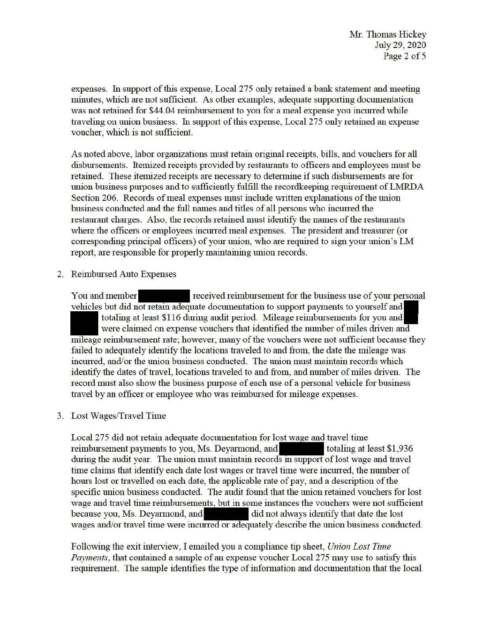expenses. In support of this expense, Local 275 only retained a bank statement and meeting minutes, which are not sufficient. As other examples, adequate supporting documentation was not retained for \$44.04 reimbursement to you for a meal expense you incurred while traveling on union business. In support of this expense, Local 275 only retained an expense voucher, which is not sufficient.

As noted above, labor organizations must retain original receipts, bills, and vouchers for all disbursements. Itemized receipts provided by restaurants to officers and employees must be retained. These itemized receipts are necessary to determine if such disbursements are for union business purposes and to sufficiently fulfill the recordkeeping requirement of LMRDA Section 206. Records of meal expenses must include written explanations of the union business conducted and the full names and titles of all persons who incurred the restaurant charges. Also, the records retained must identify the names of the restaurants where the officers or employees incurred meal expenses. The president and treasurer (or corresponding principal officers) of your union, who are required to sign your union's LM report, are responsible for properly maintaining union records.

2. Reimbursed Auto Expenses

You and member received reimbursement for the business use of your personal vehicles but did not retain adequate documentation to support payments to yourself and totaling at least \$116 during audit period. Mileage reimbursements for you and were claimed on expense vouchers that identified the number of miles driven and mileage reimbursement rate; however, many of the vouchers were not sufficient because they failed to adequately identify the locations traveled to and from, the date the mileage was incuned, and/or the union business conducted. The union must maintain records which identify the dates of travel, locations traveled to and from, and number of miles driven. The record must also show the business purpose of each use of a personal vehicle for business travel by an officer or employee who was reimbursed for mileage expenses.

# 3. Lost Wages/Travel Time

Lost Wages/Travel Time<br>Local 275 did not retain adequate documentation for lost wage and travel time<br>reimburgement parments to you. Ms. Devermend, and Local 275 did not retain adequate documentation for lost wage and travel time<br>reimbursement payments to you, Ms. Deyarmond, and<br>totaling at least \$1,936 during the audit year. The union must maintain records in support of lost wage and travel time claims that identify each date lost wages or travel time were incurred, the number of hours lost or travelled on each date, the applicable rate of pay, and a description of the specific union business conducted. The audit found that the union retained vouchers for lost wage and travel time reimbursements, but in some instances the vouchers were not sufficient because you, Ms. Deyarmond, and-- did not always identify that date the lost wages and/or travel time were incurred or adequately describe the union business conducted.

Following the exit interview, I emailed you a compliance tip sheet, *Union Lost Time Payments*, that contained a sample of an expense voucher Local 275 may use to satisfy this requirement. The sample identifies the type of information and documentation that the local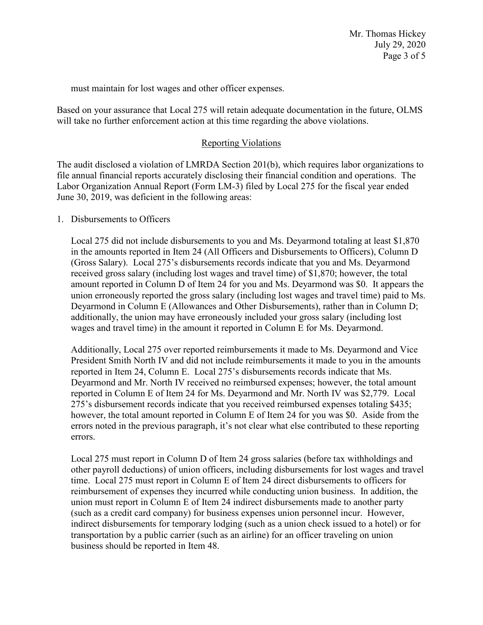must maintain for lost wages and other officer expenses.

Based on your assurance that Local 275 will retain adequate documentation in the future, OLMS will take no further enforcement action at this time regarding the above violations.

### Reporting Violations

The audit disclosed a violation of LMRDA Section 201(b), which requires labor organizations to file annual financial reports accurately disclosing their financial condition and operations. The Labor Organization Annual Report (Form LM-3) filed by Local 275 for the fiscal year ended June 30, 2019, was deficient in the following areas:

### 1. Disbursements to Officers

Local 275 did not include disbursements to you and Ms. Deyarmond totaling at least \$1,870 in the amounts reported in Item 24 (All Officers and Disbursements to Officers), Column D (Gross Salary). Local 275's disbursements records indicate that you and Ms. Deyarmond received gross salary (including lost wages and travel time) of \$1,870; however, the total amount reported in Column D of Item 24 for you and Ms. Deyarmond was \$0. It appears the union erroneously reported the gross salary (including lost wages and travel time) paid to Ms. Deyarmond in Column E (Allowances and Other Disbursements), rather than in Column D; additionally, the union may have erroneously included your gross salary (including lost wages and travel time) in the amount it reported in Column E for Ms. Deyarmond.

Additionally, Local 275 over reported reimbursements it made to Ms. Deyarmond and Vice President Smith North IV and did not include reimbursements it made to you in the amounts reported in Item 24, Column E. Local 275's disbursements records indicate that Ms. Deyarmond and Mr. North IV received no reimbursed expenses; however, the total amount reported in Column E of Item 24 for Ms. Deyarmond and Mr. North IV was \$2,779. Local 275's disbursement records indicate that you received reimbursed expenses totaling \$435; however, the total amount reported in Column E of Item 24 for you was \$0. Aside from the errors noted in the previous paragraph, it's not clear what else contributed to these reporting errors.

Local 275 must report in Column D of Item 24 gross salaries (before tax withholdings and other payroll deductions) of union officers, including disbursements for lost wages and travel time. Local 275 must report in Column E of Item 24 direct disbursements to officers for reimbursement of expenses they incurred while conducting union business. In addition, the union must report in Column E of Item 24 indirect disbursements made to another party (such as a credit card company) for business expenses union personnel incur. However, indirect disbursements for temporary lodging (such as a union check issued to a hotel) or for transportation by a public carrier (such as an airline) for an officer traveling on union business should be reported in Item 48.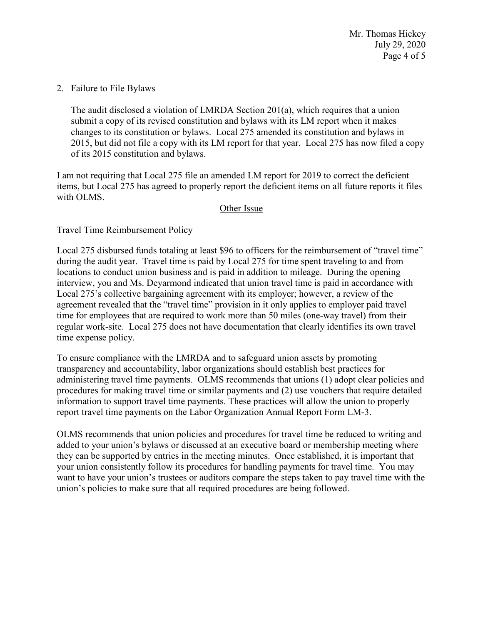Mr. Thomas Hickey July 29, 2020 Page 4 of 5

2. Failure to File Bylaws

The audit disclosed a violation of LMRDA Section 201(a), which requires that a union submit a copy of its revised constitution and bylaws with its LM report when it makes changes to its constitution or bylaws. Local 275 amended its constitution and bylaws in 2015, but did not file a copy with its LM report for that year. Local 275 has now filed a copy of its 2015 constitution and bylaws.

I am not requiring that Local 275 file an amended LM report for 2019 to correct the deficient items, but Local 275 has agreed to properly report the deficient items on all future reports it files with OLMS.

#### Other Issue

Travel Time Reimbursement Policy

Local 275 disbursed funds totaling at least \$96 to officers for the reimbursement of "travel time" during the audit year. Travel time is paid by Local 275 for time spent traveling to and from locations to conduct union business and is paid in addition to mileage. During the opening interview, you and Ms. Deyarmond indicated that union travel time is paid in accordance with Local 275's collective bargaining agreement with its employer; however, a review of the agreement revealed that the "travel time" provision in it only applies to employer paid travel time for employees that are required to work more than 50 miles (one-way travel) from their regular work-site. Local 275 does not have documentation that clearly identifies its own travel time expense policy.

To ensure compliance with the LMRDA and to safeguard union assets by promoting transparency and accountability, labor organizations should establish best practices for administering travel time payments. OLMS recommends that unions (1) adopt clear policies and procedures for making travel time or similar payments and (2) use vouchers that require detailed information to support travel time payments. These practices will allow the union to properly report travel time payments on the Labor Organization Annual Report Form LM-3.

OLMS recommends that union policies and procedures for travel time be reduced to writing and added to your union's bylaws or discussed at an executive board or membership meeting where they can be supported by entries in the meeting minutes. Once established, it is important that your union consistently follow its procedures for handling payments for travel time. You may want to have your union's trustees or auditors compare the steps taken to pay travel time with the union's policies to make sure that all required procedures are being followed.